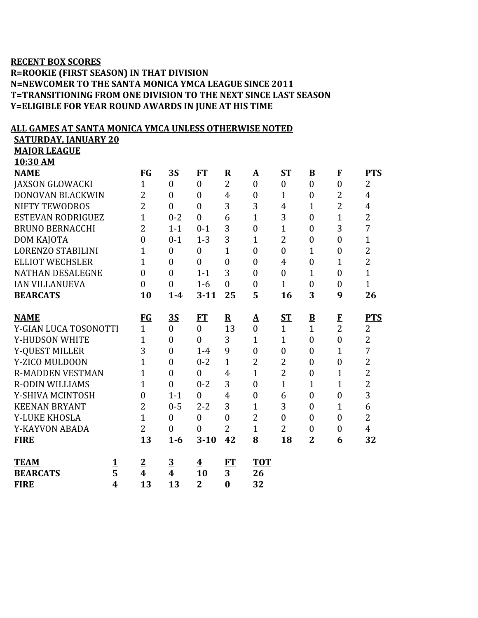## **RECENT BOX SCORES**

**R=ROOKIE (FIRST SEASON) IN THAT DIVISION N=NEWCOMER TO THE SANTA MONICA YMCA LEAGUE SINCE 2011 T=TRANSITIONING FROM ONE DIVISION TO THE NEXT SINCE LAST SEASON Y=ELIGIBLE FOR YEAR ROUND AWARDS IN JUNE AT HIS TIME**

## **ALL GAMES AT SANTA MONICA YMCA UNLESS OTHERWISE NOTED**

**SATURDAY, JANUARY 20**

**MAJOR LEAGUE 10:30 AM**

| <b>NAME</b>              |                         | $FG$             | <u>35</u>               | FT                      | $\overline{\mathbf{R}}$ | ${\underline{\bf A}}$ | ST               | $\underline{\mathbf{B}}$ | $\mathbf{F}$     | <b>PTS</b>     |
|--------------------------|-------------------------|------------------|-------------------------|-------------------------|-------------------------|-----------------------|------------------|--------------------------|------------------|----------------|
| <b>JAXSON GLOWACKI</b>   |                         | $\mathbf{1}$     | $\mathbf{0}$            | $\overline{0}$          | $\overline{2}$          | $\overline{0}$        | $\mathbf{0}$     | $\overline{0}$           | $\overline{0}$   | $\overline{2}$ |
| DONOVAN BLACKWIN         |                         | $\overline{2}$   | $\overline{0}$          | $\overline{0}$          | $\overline{4}$          | $\overline{0}$        | 1                | $\boldsymbol{0}$         | $\overline{2}$   | $\overline{4}$ |
| <b>NIFTY TEWODROS</b>    |                         | $\overline{2}$   | $\overline{0}$          | $\overline{0}$          | 3                       | 3                     | 4                | $\mathbf{1}$             | $\overline{2}$   | $\overline{4}$ |
| <b>ESTEVAN RODRIGUEZ</b> |                         | $\overline{1}$   | $0 - 2$                 | $\overline{0}$          | 6                       | $\mathbf{1}$          | 3                | $\boldsymbol{0}$         | $\mathbf{1}$     | $\overline{2}$ |
| <b>BRUNO BERNACCHI</b>   |                         | $\overline{2}$   | $1 - 1$                 | $0 - 1$                 | 3                       | $\overline{0}$        | $\mathbf{1}$     | $\overline{0}$           | 3                | 7              |
| DOM KAJOTA               |                         | $\overline{0}$   | $0 - 1$                 | $1 - 3$                 | 3                       | 1                     | $\overline{2}$   | $\boldsymbol{0}$         | $\overline{0}$   | $\mathbf{1}$   |
| <b>LORENZO STABILINI</b> |                         | $\mathbf 1$      | $\boldsymbol{0}$        | $\boldsymbol{0}$        | 1                       | $\overline{0}$        | $\boldsymbol{0}$ | $\overline{1}$           | $\boldsymbol{0}$ | $\overline{2}$ |
| <b>ELLIOT WECHSLER</b>   |                         | $\overline{1}$   | $\theta$                | $\theta$                | $\mathbf{0}$            | $\overline{0}$        | $\overline{4}$   | $\overline{0}$           | 1                | $\overline{2}$ |
| <b>NATHAN DESALEGNE</b>  |                         | $\overline{0}$   | $\overline{0}$          | $1 - 1$                 | 3                       | $\overline{0}$        | $\overline{0}$   | $\mathbf{1}$             | $\overline{0}$   | $\mathbf{1}$   |
| <b>IAN VILLANUEVA</b>    |                         | $\boldsymbol{0}$ | $\overline{0}$          | $1-6$                   | $\theta$                | $\boldsymbol{0}$      | $\mathbf{1}$     | $\boldsymbol{0}$         | $\overline{0}$   | $\mathbf{1}$   |
| <b>BEARCATS</b>          |                         | 10               | $1-4$                   | $3 - 11$                | 25                      | 5                     | 16               | 3                        | 9                | 26             |
|                          |                         |                  |                         |                         |                         |                       |                  |                          |                  |                |
| <b>NAME</b>              |                         | <b>FG</b>        | <u>35</u>               | <b>FT</b>               | ${\bf R}$               | ${\underline{\bf A}}$ | ST               | $\overline{\mathbf{B}}$  | $\bf{F}$         | <b>PTS</b>     |
| Y-GIAN LUCA TOSONOTTI    |                         | $\mathbf{1}$     | $\overline{0}$          | $\boldsymbol{0}$        | 13                      | $\overline{0}$        | $\mathbf{1}$     | $\overline{1}$           | $\overline{2}$   | 2              |
| Y-HUDSON WHITE           |                         | 1                | $\overline{0}$          | $\overline{0}$          | 3                       | $\mathbf{1}$          | $\mathbf{1}$     | $\overline{0}$           | $\overline{0}$   | $\overline{2}$ |
| Y-QUEST MILLER           |                         | 3                | $\overline{0}$          | $1-4$                   | 9                       | $\boldsymbol{0}$      | $\boldsymbol{0}$ | $\boldsymbol{0}$         | $\mathbf{1}$     | $\overline{7}$ |
| Y-ZICO MULDOON           |                         | $\overline{1}$   | $\overline{0}$          | $0 - 2$                 | $\mathbf{1}$            | $\overline{2}$        | $\overline{2}$   | $\overline{0}$           | $\mathbf{0}$     | $\overline{2}$ |
| <b>R-MADDEN VESTMAN</b>  |                         | $\overline{1}$   | $\overline{0}$          | $\overline{0}$          | $\overline{4}$          | $\mathbf{1}$          | $\overline{2}$   | $\boldsymbol{0}$         | $\overline{1}$   | $\overline{2}$ |
| <b>R-ODIN WILLIAMS</b>   |                         | $\overline{1}$   | $\theta$                | $0 - 2$                 | 3                       | $\overline{0}$        | $\overline{1}$   | $\overline{1}$           | $\overline{1}$   | $\overline{2}$ |
| Y-SHIVA MCINTOSH         |                         | $\boldsymbol{0}$ | $1 - 1$                 | $\overline{0}$          | $\overline{4}$          | $\boldsymbol{0}$      | 6                | $\boldsymbol{0}$         | $\overline{0}$   | 3              |
| <b>KEENAN BRYANT</b>     |                         | 2                | $0 - 5$                 | $2 - 2$                 | 3                       | $\mathbf{1}$          | 3                | $\boldsymbol{0}$         | $\mathbf{1}$     | 6              |
| Y-LUKE KHOSLA            |                         | $\overline{1}$   | $\mathbf{0}$            | $\boldsymbol{0}$        | $\overline{0}$          | $\overline{2}$        | $\overline{0}$   | $\boldsymbol{0}$         | $\overline{0}$   | $\overline{2}$ |
| Y-KAYVON ABADA           |                         | $\overline{2}$   | $\mathbf{0}$            | $\overline{0}$          | $\overline{2}$          | $\mathbf{1}$          | $\overline{2}$   | $\boldsymbol{0}$         | $\boldsymbol{0}$ | $\overline{4}$ |
| <b>FIRE</b>              |                         | 13               | $1-6$                   | $3 - 10$                | 42                      | 8                     | 18               | $\overline{2}$           | 6                | 32             |
|                          |                         |                  |                         |                         |                         |                       |                  |                          |                  |                |
| <b>TEAM</b>              | <u>1</u>                | $\overline{2}$   | $\overline{3}$          | $\overline{\textbf{4}}$ | FT                      | <b>TOT</b>            |                  |                          |                  |                |
| <b>BEARCATS</b>          | 5                       | 4                | $\overline{\mathbf{4}}$ | 10                      | 3                       | 26                    |                  |                          |                  |                |
| <b>FIRE</b>              | $\overline{\mathbf{4}}$ | 13               | 13                      | $\overline{2}$          | $\bf{0}$                | 32                    |                  |                          |                  |                |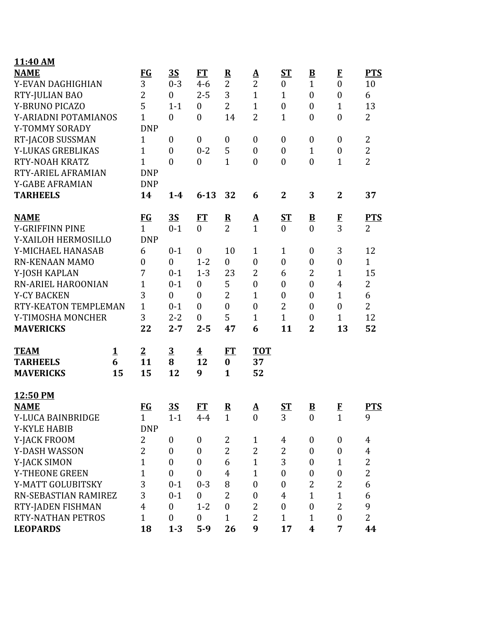| 11:40 AM                                 |          |                  |                         |                         |                         |                        |                  |                          |                  |                |
|------------------------------------------|----------|------------------|-------------------------|-------------------------|-------------------------|------------------------|------------------|--------------------------|------------------|----------------|
| <b>NAME</b>                              |          | <b>FG</b>        | 3S                      | <b>FT</b>               | $\overline{\mathbf{R}}$ | $\Delta$               | $S_{1}$          | $\overline{\mathbf{B}}$  | $\mathbf{F}$     | <b>PTS</b>     |
| Y-EVAN DAGHIGHIAN                        |          | 3                | $0 - 3$                 | $4 - 6$                 | $\overline{2}$          | $\overline{2}$         | $\boldsymbol{0}$ | $\mathbf{1}$             | $\mathbf{0}$     | 10             |
| RTY-JULIAN BAO                           |          | $\overline{2}$   | $\overline{0}$          | $2 - 5$                 | 3                       | $\mathbf{1}$           | $\mathbf{1}$     | $\boldsymbol{0}$         | $\boldsymbol{0}$ | 6              |
| Y-BRUNO PICAZO                           |          | 5                | $1 - 1$                 | $\boldsymbol{0}$        | $\overline{2}$          | $\mathbf{1}$           | $\boldsymbol{0}$ | $\boldsymbol{0}$         | $\mathbf{1}$     | 13             |
| Y-ARIADNI POTAMIANOS                     |          | $\mathbf{1}$     | $\overline{0}$          | $\overline{0}$          | 14                      | $\overline{2}$         | $\mathbf{1}$     | $\boldsymbol{0}$         | $\boldsymbol{0}$ | $\overline{2}$ |
| Y-TOMMY SORADY                           |          | <b>DNP</b>       |                         |                         |                         |                        |                  |                          |                  |                |
| RT-JACOB SUSSMAN                         |          | $\mathbf{1}$     | $\boldsymbol{0}$        | $\mathbf{0}$            | $\boldsymbol{0}$        | $\boldsymbol{0}$       | $\boldsymbol{0}$ | $\boldsymbol{0}$         | $\mathbf{0}$     | $\overline{2}$ |
| Y-LUKAS GREBLIKAS                        |          | $\mathbf{1}$     | $\boldsymbol{0}$        | $0 - 2$                 | 5                       | $\boldsymbol{0}$       | $\boldsymbol{0}$ | $\mathbf{1}$             | $\boldsymbol{0}$ | $\overline{2}$ |
| <b>RTY-NOAH KRATZ</b>                    |          | $\overline{1}$   | $\overline{0}$          | $\boldsymbol{0}$        | $\mathbf{1}$            | $\overline{0}$         | $\boldsymbol{0}$ | $\boldsymbol{0}$         | $\mathbf{1}$     | $\overline{2}$ |
| RTY-ARIEL AFRAMIAN                       |          | <b>DNP</b>       |                         |                         |                         |                        |                  |                          |                  |                |
| Y-GABE AFRAMIAN                          |          | <b>DNP</b>       |                         |                         |                         |                        |                  |                          |                  |                |
| <b>TARHEELS</b>                          |          | 14               | $1-4$                   | $6 - 13$                | 32                      | 6                      | $\mathbf{2}$     | 3                        | $\mathbf{2}$     | 37             |
| <b>NAME</b>                              |          | $FG$             | <u>35</u>               | FT                      | $\overline{\mathbf{R}}$ |                        | ST               | $\underline{\mathbf{B}}$ |                  | <b>PTS</b>     |
| Y-GRIFFINN PINE                          |          | $\mathbf{1}$     | $0 - 1$                 | $\mathbf{0}$            | $\overline{2}$          | $\frac{\mathbf{A}}{1}$ | $\mathbf{0}$     | $\overline{0}$           | $\frac{F}{3}$    | $\overline{2}$ |
| Y-XAILOH HERMOSILLO                      |          | <b>DNP</b>       |                         |                         |                         |                        |                  |                          |                  |                |
| Y-MICHAEL HANASAB                        |          | 6                | $0 - 1$                 | $\mathbf{0}$            | 10                      | $\mathbf{1}$           | $\mathbf{1}$     | $\boldsymbol{0}$         | 3                | 12             |
| <b>RN-KENAAN MAMO</b>                    |          | $\boldsymbol{0}$ | $\overline{0}$          | $1 - 2$                 | $\boldsymbol{0}$        | $\boldsymbol{0}$       | $\boldsymbol{0}$ | $\boldsymbol{0}$         | $\boldsymbol{0}$ | $\mathbf{1}$   |
| Y-JOSH KAPLAN                            |          | 7                | $0 - 1$                 | $1 - 3$                 | 23                      | $\overline{2}$         | 6                | $\overline{2}$           | $\mathbf{1}$     | 15             |
| RN-ARIEL HAROONIAN<br><b>Y-CY BACKEN</b> |          | $\overline{1}$   | $0 - 1$                 | $\mathbf{0}$            | 5                       | $\mathbf{0}$           | $\boldsymbol{0}$ | $\boldsymbol{0}$         | $\overline{4}$   | 2              |
|                                          |          | 3                | $\overline{0}$          | $\theta$                | $\overline{2}$          | $\mathbf{1}$           | $\overline{0}$   | $\boldsymbol{0}$         | $\mathbf{1}$     | 6              |
| RTY-KEATON TEMPLEMAN                     |          | $\overline{1}$   | $0 - 1$                 | $\theta$                | $\boldsymbol{0}$        | $\boldsymbol{0}$       | 2                | $\boldsymbol{0}$         | $\mathbf{0}$     | $\overline{2}$ |
| Y-TIMOSHA MONCHER                        |          | 3                | $2 - 2$                 | $\mathbf{0}$            | 5                       | $\mathbf{1}$           | $\mathbf{1}$     | $\boldsymbol{0}$         | $\mathbf{1}$     | 12             |
| <b>MAVERICKS</b>                         |          | 22               | $2 - 7$                 | $2 - 5$                 | 47                      | 6                      | 11               | $\overline{2}$           | 13               | 52             |
| <b>TEAM</b>                              | <u>1</u> | $\overline{2}$   | $\overline{\mathbf{3}}$ | $\overline{\mathbf{4}}$ | ET                      | <b>TOT</b>             |                  |                          |                  |                |
| <b>TARHEELS</b>                          | 6        | 11               | 8                       | 12                      | $\boldsymbol{0}$        | 37                     |                  |                          |                  |                |
| <b>MAVERICKS</b>                         | 15       | 15               | 12                      | 9                       | $\mathbf{1}$            | 52                     |                  |                          |                  |                |
| 12:50 PM                                 |          |                  |                         |                         |                         |                        |                  |                          |                  |                |
| <b>NAME</b>                              |          | <u>FG</u>        | <u>35</u>               | <u>FT</u>               | $\overline{\mathbf{R}}$ | <u>A</u>               | $ST$             | $\overline{\mathbf{B}}$  | $\bf{F}$         | <b>PTS</b>     |
| Y-LUCA BAINBRIDGE                        |          | $\mathbf{1}$     | $1 - 1$                 | $4 - 4$                 | $\mathbf{1}$            | $\boldsymbol{0}$       | 3                | $\boldsymbol{0}$         | $\mathbf{1}$     | 9              |
| <b>Y-KYLE HABIB</b>                      |          | <b>DNP</b>       |                         |                         |                         |                        |                  |                          |                  |                |
| Y-JACK FROOM                             |          | 2                | $\boldsymbol{0}$        | $\bf{0}$                | 2                       | $\mathbf{1}$           | 4                | $\boldsymbol{0}$         | $\boldsymbol{0}$ | 4              |
| Y-DASH WASSON                            |          | $\overline{2}$   | $\boldsymbol{0}$        | $\boldsymbol{0}$        | $\overline{2}$          | $\overline{2}$         | $\overline{2}$   | $\boldsymbol{0}$         | $\boldsymbol{0}$ | $\overline{4}$ |
| Y-JACK SIMON                             |          | $\mathbf{1}$     | $\boldsymbol{0}$        | $\mathbf{0}$            | 6                       | $\mathbf{1}$           | 3                | $\boldsymbol{0}$         | $\mathbf{1}$     | $\overline{2}$ |
| Y-THEONE GREEN                           |          | $\overline{1}$   | $\overline{0}$          | $\mathbf{0}$            | 4                       | $\mathbf{1}$           | $\boldsymbol{0}$ | $\boldsymbol{0}$         | $\boldsymbol{0}$ | $\overline{2}$ |
| Y-MATT GOLUBITSKY                        |          | 3                | $0 - 1$                 | $0 - 3$                 | 8                       | $\boldsymbol{0}$       | $\boldsymbol{0}$ | $\overline{2}$           | $\overline{2}$   | 6              |
| RN-SEBASTIAN RAMIREZ                     |          | 3                | $0 - 1$                 | $\boldsymbol{0}$        | $\overline{2}$          | $\boldsymbol{0}$       | $\overline{4}$   | $\mathbf{1}$             | $\mathbf{1}$     | 6              |
| RTY-JADEN FISHMAN                        |          | $\overline{4}$   | $\boldsymbol{0}$        | $1 - 2$                 | $\overline{0}$          | 2                      | $\boldsymbol{0}$ | $\boldsymbol{0}$         | $\overline{2}$   | 9              |
| RTY-NATHAN PETROS                        |          | $\mathbf{1}$     | $\boldsymbol{0}$        | $\boldsymbol{0}$        | $\mathbf{1}$            | 2                      | $\mathbf{1}$     | $\mathbf{1}$             | $\boldsymbol{0}$ | $\overline{2}$ |
| <b>LEOPARDS</b>                          |          | 18               | $1 - 3$                 | $5-9$                   | 26                      | 9                      | 17               | 4                        | 7                | 44             |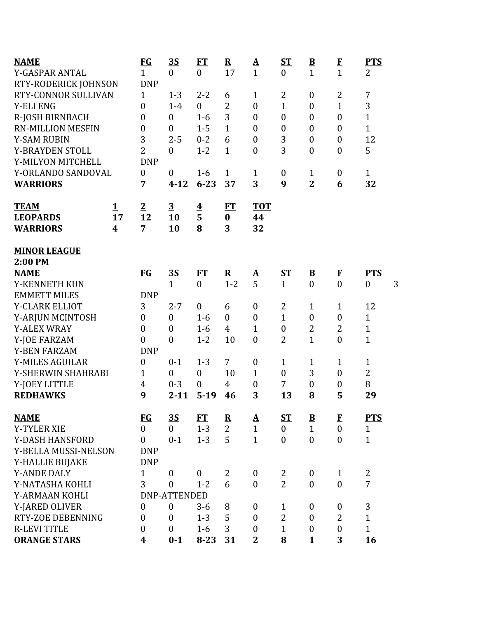| <b>NAME</b>            |             | $FG$             | <u>35</u>           | <b>FT</b>        | ${\bf R}$      | $\underline{\mathbf{A}}$ | $S_{\rm T}$      | $\underline{\mathbf{B}}$ | $\bf{F}$         | <b>PTS</b>        |
|------------------------|-------------|------------------|---------------------|------------------|----------------|--------------------------|------------------|--------------------------|------------------|-------------------|
| Y-GASPAR ANTAL         |             | $\mathbf{1}$     | $\overline{0}$      | $\overline{0}$   | 17             | $\mathbf{1}$             | $\boldsymbol{0}$ | $\mathbf{1}$             | $\mathbf{1}$     | $\overline{2}$    |
| RTY-RODERICK JOHNSON   |             | <b>DNP</b>       |                     |                  |                |                          |                  |                          |                  |                   |
| RTY-CONNOR SULLIVAN    |             | $\mathbf{1}$     | $1 - 3$             | $2 - 2$          | 6              | $\mathbf{1}$             | 2                | $\boldsymbol{0}$         | 2                | 7                 |
| <b>Y-ELI ENG</b>       |             | $\overline{0}$   | $1-4$               | $\boldsymbol{0}$ | $\overline{2}$ | $\boldsymbol{0}$         | $\mathbf{1}$     | $\boldsymbol{0}$         | $\mathbf{1}$     | 3                 |
| R-JOSH BIRNBACH        |             | $\boldsymbol{0}$ | $\mathbf{0}$        | $1-6$            | 3              | $\overline{0}$           | $\boldsymbol{0}$ | $\overline{0}$           | $\overline{0}$   | $\mathbf{1}$      |
| RN-MILLION MESFIN      |             | $\boldsymbol{0}$ | $\mathbf{0}$        | $1 - 5$          | $\mathbf 1$    | $\mathbf{0}$             | $\boldsymbol{0}$ | $\boldsymbol{0}$         | $\boldsymbol{0}$ | $\mathbf{1}$      |
| <b>Y-SAM RUBIN</b>     |             | 3                | $2 - 5$             | $0 - 2$          | 6              | $\boldsymbol{0}$         | 3                | $\boldsymbol{0}$         | $\boldsymbol{0}$ | 12                |
| Y-BRAYDEN STOLL        |             | $\overline{2}$   | $\boldsymbol{0}$    | $1 - 2$          | $\mathbf{1}$   | $\mathbf{0}$             | 3                | $\boldsymbol{0}$         | $\boldsymbol{0}$ | 5                 |
| Y-MILYON MITCHELL      |             | <b>DNP</b>       |                     |                  |                |                          |                  |                          |                  |                   |
| Y-ORLANDO SANDOVAL     |             | $\boldsymbol{0}$ | $\boldsymbol{0}$    | $1 - 6$          | $\mathbf{1}$   | $\mathbf{1}$             | $\boldsymbol{0}$ | $\mathbf{1}$             | $\boldsymbol{0}$ | $\mathbf{1}$      |
| <b>WARRIORS</b>        |             | 7                | $4 - 12$            | $6 - 23$         | 37             | 3                        | 9                | $\overline{2}$           | 6                | 32                |
| <b>TEAM</b>            | $\mathbf 1$ | $\overline{2}$   | $\overline{3}$      |                  | ET             | <b>TOT</b>               |                  |                          |                  |                   |
| <b>LEOPARDS</b>        | 17          | 12               | 10                  | $\frac{4}{5}$    | $\bf{0}$       | 44                       |                  |                          |                  |                   |
| <b>WARRIORS</b>        | 4           | 7                | 10                  | 8                | 3              | 32                       |                  |                          |                  |                   |
| <b>MINOR LEAGUE</b>    |             |                  |                     |                  |                |                          |                  |                          |                  |                   |
| 2:00 PM                |             |                  |                     |                  |                |                          |                  |                          |                  |                   |
| <b>NAME</b>            |             | $FG$             | <u>35</u>           | ET               | ${\bf R}$      | $\underline{\mathbf{A}}$ | <u>ST</u>        | $\underline{\mathbf{B}}$ | $\bf{F}$         | <b>PTS</b>        |
| Y-KENNETH KUN          |             |                  | $\mathbf{1}$        | $\overline{0}$   | $1 - 2$        | 5                        | $\mathbf{1}$     | $\overline{0}$           | $\overline{0}$   | 3<br>$\mathbf{0}$ |
| <b>EMMETT MILES</b>    |             | <b>DNP</b>       |                     |                  |                |                          |                  |                          |                  |                   |
| Y-CLARK ELLIOT         |             | 3                | $2 - 7$             | $\boldsymbol{0}$ | 6              | $\boldsymbol{0}$         | 2                | $\mathbf{1}$             | $\mathbf{1}$     | 12                |
| Y-ARJUN MCINTOSH       |             | $\boldsymbol{0}$ | $\boldsymbol{0}$    | $1-6$            | $\overline{0}$ | $\boldsymbol{0}$         | $\mathbf{1}$     | $\boldsymbol{0}$         | $\boldsymbol{0}$ | $\mathbf{1}$      |
| <b>Y-ALEX WRAY</b>     |             | $\overline{0}$   | $\boldsymbol{0}$    | $1-6$            | $\overline{4}$ | $\mathbf{1}$             | $\boldsymbol{0}$ | 2                        | $\overline{2}$   | $\mathbf{1}$      |
| Y-JOE FARZAM           |             | $\overline{0}$   | $\boldsymbol{0}$    | $1 - 2$          | 10             | $\mathbf{0}$             | $\overline{2}$   | $\mathbf{1}$             | $\overline{0}$   | $\mathbf{1}$      |
| <b>Y-BEN FARZAM</b>    |             | <b>DNP</b>       |                     |                  |                |                          |                  |                          |                  |                   |
| <b>Y-MILES AGUILAR</b> |             | $\boldsymbol{0}$ | $0 - 1$             | $1 - 3$          | 7              | $\boldsymbol{0}$         | $\mathbf{1}$     | 1                        | 1                | $\mathbf{1}$      |
| Y-SHERWIN SHAHRABI     |             | $\mathbf{1}$     | $\boldsymbol{0}$    | $\boldsymbol{0}$ | 10             | $\mathbf{1}$             | $\boldsymbol{0}$ | 3                        | $\boldsymbol{0}$ | $\overline{2}$    |
| Y-JOEY LITTLE          |             | 4                | $0 - 3$             | $\boldsymbol{0}$ | 4              | $\boldsymbol{0}$         | $\overline{7}$   | $\boldsymbol{0}$         | $\boldsymbol{0}$ | 8                 |
| <b>REDHAWKS</b>        |             | 9                | $2 - 11$            | $5-19$           | 46             | 3                        | 13               | 8                        | 5                | 29                |
| <b>NAME</b>            |             | <b>FG</b>        | 3S                  | <b>FT</b>        | ${\bf R}$      | <u>A</u>                 | <u>ST</u>        | $\mathbf{B}$             | $\mathbf{F}$     | <b>PTS</b>        |
| <b>Y-TYLER XIE</b>     |             | $\overline{0}$   | $\overline{0}$      | $1 - 3$          | $\overline{2}$ | $\mathbf{1}$             | $\overline{0}$   | $\mathbf{1}$             | $\mathbf{0}$     | $\mathbf{1}$      |
| Y-DASH HANSFORD        |             | $\theta$         | $0 - 1$             | $1 - 3$          | 5              | $\mathbf{1}$             | $\boldsymbol{0}$ | $\theta$                 | $\theta$         | $\mathbf{1}$      |
| Y-BELLA MUSSI-NELSON   |             | <b>DNP</b>       |                     |                  |                |                          |                  |                          |                  |                   |
| Y-HALLIE BUJAKE        |             | <b>DNP</b>       |                     |                  |                |                          |                  |                          |                  |                   |
| <b>Y-ANDE DALY</b>     |             | $\mathbf{1}$     | $\mathbf{0}$        | $\boldsymbol{0}$ | $\overline{2}$ | $\mathbf{0}$             | 2                | $\mathbf{0}$             | $\mathbf{1}$     | 2                 |
| Y-NATASHA KOHLI        |             | 3                | $\mathbf{0}$        | $1 - 2$          | 6              | $\mathbf{0}$             | $\overline{2}$   | $\boldsymbol{0}$         | $\overline{0}$   | $\overline{7}$    |
| Y-ARMAAN KOHLI         |             |                  | <b>DNP-ATTENDED</b> |                  |                |                          |                  |                          |                  |                   |
| Y-JARED OLIVER         |             | $\boldsymbol{0}$ | $\boldsymbol{0}$    | $3 - 6$          | 8              | $\mathbf{0}$             | $\mathbf{1}$     | $\boldsymbol{0}$         | $\boldsymbol{0}$ | 3                 |
| RTY-ZOE DEBENNING      |             | $\boldsymbol{0}$ | $\overline{0}$      | $1 - 3$          | 5              | $\boldsymbol{0}$         | $\overline{2}$   | $\boldsymbol{0}$         | $\overline{2}$   | $\mathbf{1}$      |
| <b>R-LEVI TITLE</b>    |             | $\boldsymbol{0}$ | $\mathbf{0}$        | $1-6$            | 3              | $\mathbf{0}$             | $\mathbf{1}$     | $\overline{0}$           | $\boldsymbol{0}$ | $\mathbf{1}$      |
| <b>ORANGE STARS</b>    |             | 4                | $0 - 1$             | $8 - 23$         | 31             | 2                        | 8                | $\mathbf{1}$             | 3                | 16                |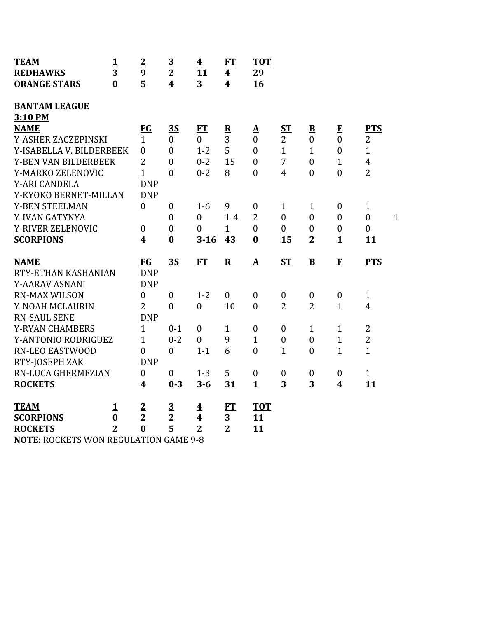| <b>TEAM</b><br><b>REDHAWKS</b>               | $\mathbf{1}$<br>3 | $\overline{2}$<br>9 | $\overline{3}$<br>$\overline{2}$ | $\overline{\mathbf{4}}$<br>11 | ET<br>4          | <b>TOT</b><br>29  |                  |                         |                  |                  |              |
|----------------------------------------------|-------------------|---------------------|----------------------------------|-------------------------------|------------------|-------------------|------------------|-------------------------|------------------|------------------|--------------|
| <b>ORANGE STARS</b>                          | $\bf{0}$          | 5                   | 4                                | 3                             | $\boldsymbol{4}$ | 16                |                  |                         |                  |                  |              |
|                                              |                   |                     |                                  |                               |                  |                   |                  |                         |                  |                  |              |
| <b>BANTAM LEAGUE</b>                         |                   |                     |                                  |                               |                  |                   |                  |                         |                  |                  |              |
| 3:10 PM                                      |                   |                     |                                  |                               |                  |                   |                  |                         |                  |                  |              |
| <b>NAME</b>                                  |                   | <b>FG</b>           | 3S                               | FT                            | ${\bf R}$        | $\Delta$          | <u>ST</u>        | $\overline{\mathbf{B}}$ | $\bf{F}$         | <b>PTS</b>       |              |
| Y-ASHER ZACZEPINSKI                          |                   | $\mathbf{1}$        | $\mathbf{0}$                     | $\overline{0}$                | 3                | $\mathbf{0}$      | $\overline{2}$   | $\mathbf{0}$            | $\overline{0}$   | 2                |              |
| Y-ISABELLA V. BILDERBEEK                     |                   | $\mathbf{0}$        | $\mathbf{0}$                     | $1 - 2$                       | 5                | $\theta$          | $\mathbf{1}$     | $\mathbf{1}$            | $\mathbf{0}$     | $\mathbf{1}$     |              |
| Y-BEN VAN BILDERBEEK                         |                   | $\overline{2}$      | $\boldsymbol{0}$                 | $0 - 2$                       | 15               | $\boldsymbol{0}$  | $\overline{7}$   | $\mathbf{0}$            | $\mathbf{1}$     | $\overline{4}$   |              |
| Y-MARKO ZELENOVIC                            |                   | $\mathbf{1}$        | $\overline{0}$                   | $0 - 2$                       | 8                | $\mathbf{0}$      | $\overline{4}$   | $\mathbf{0}$            | $\mathbf{0}$     | $\overline{2}$   |              |
| <b>Y-ARI CANDELA</b>                         |                   | <b>DNP</b>          |                                  |                               |                  |                   |                  |                         |                  |                  |              |
| Y-KYOKO BERNET-MILLAN                        |                   | <b>DNP</b>          |                                  |                               |                  |                   |                  |                         |                  |                  |              |
| Y-BEN STEELMAN                               |                   | $\mathbf{0}$        | $\boldsymbol{0}$                 | $1-6$                         | 9                | $\boldsymbol{0}$  | $\mathbf{1}$     | $\mathbf{1}$            | $\boldsymbol{0}$ | $\mathbf{1}$     |              |
| Y-IVAN GATYNYA                               |                   |                     | $\overline{0}$                   | $\overline{0}$                | $1-4$            | $\overline{2}$    | $\overline{0}$   | $\theta$                | $\theta$         | $\boldsymbol{0}$ | $\mathbf{1}$ |
| Y-RIVER ZELENOVIC                            |                   | $\boldsymbol{0}$    | $\overline{0}$                   | $\mathbf{0}$                  | $\mathbf{1}$     | $\overline{0}$    | $\overline{0}$   | $\boldsymbol{0}$        | $\boldsymbol{0}$ | $\boldsymbol{0}$ |              |
| <b>SCORPIONS</b>                             |                   | 4                   | $\bf{0}$                         | $3 - 16$                      | 43               | $\bf{0}$          | 15               | $\overline{2}$          | $\mathbf{1}$     | 11               |              |
|                                              |                   |                     |                                  |                               |                  |                   |                  |                         |                  |                  |              |
| <b>NAME</b>                                  |                   | <b>FG</b>           | <b>3S</b>                        | FT                            | ${\bf R}$        | $\mathbf{\Delta}$ | <b>ST</b>        | $\mathbf{B}$            | $\mathbf{F}$     | <b>PTS</b>       |              |
| RTY-ETHAN KASHANIAN                          |                   | <b>DNP</b>          |                                  |                               |                  |                   |                  |                         |                  |                  |              |
| Y-AARAV ASNANI                               |                   | <b>DNP</b>          |                                  |                               |                  |                   |                  |                         |                  |                  |              |
| <b>RN-MAX WILSON</b>                         |                   | $\overline{0}$      | $\boldsymbol{0}$                 | $1 - 2$                       | $\mathbf{0}$     | $\boldsymbol{0}$  | $\boldsymbol{0}$ | $\boldsymbol{0}$        | $\boldsymbol{0}$ | $\mathbf{1}$     |              |
| Y-NOAH MCLAURIN                              |                   | $\overline{2}$      | $\overline{0}$                   | $\boldsymbol{0}$              | 10               | $\boldsymbol{0}$  | $\overline{2}$   | $\overline{2}$          | $\mathbf{1}$     | $\overline{4}$   |              |
| <b>RN-SAUL SENE</b>                          |                   | <b>DNP</b>          |                                  |                               |                  |                   |                  |                         |                  |                  |              |
| <b>Y-RYAN CHAMBERS</b>                       |                   | $\mathbf{1}$        | $0 - 1$                          | $\mathbf{0}$                  | $\mathbf{1}$     | $\theta$          | $\boldsymbol{0}$ | $\mathbf{1}$            | $\mathbf{1}$     | $\overline{2}$   |              |
| Y-ANTONIO RODRIGUEZ                          |                   | $\mathbf{1}$        | $0 - 2$                          | $\boldsymbol{0}$              | 9                | $\mathbf{1}$      | $\boldsymbol{0}$ | $\mathbf{0}$            | $\mathbf{1}$     | $\overline{2}$   |              |
| <b>RN-LEO EASTWOOD</b>                       |                   | $\theta$            | $\boldsymbol{0}$                 | $1 - 1$                       | 6                | $\theta$          | $\mathbf{1}$     | $\boldsymbol{0}$        | $\mathbf{1}$     | $\mathbf{1}$     |              |
| RTY-JOSEPH ZAK                               |                   | <b>DNP</b>          |                                  |                               |                  |                   |                  |                         |                  |                  |              |
| RN-LUCA GHERMEZIAN                           |                   | $\mathbf{0}$        | $\boldsymbol{0}$                 | $1 - 3$                       | 5                | $\boldsymbol{0}$  | $\boldsymbol{0}$ | $\boldsymbol{0}$        | $\boldsymbol{0}$ | $\mathbf{1}$     |              |
| <b>ROCKETS</b>                               |                   | $\boldsymbol{4}$    | $0 - 3$                          | $3 - 6$                       | 31               | $\mathbf{1}$      | 3                | 3                       | $\boldsymbol{4}$ | 11               |              |
|                                              |                   |                     |                                  |                               |                  |                   |                  |                         |                  |                  |              |
| <b>TEAM</b>                                  | 1                 | $\overline{2}$      | $\overline{\mathbf{3}}$          | $\overline{\textbf{4}}$       | FT               | <b>TOT</b>        |                  |                         |                  |                  |              |
| <b>SCORPIONS</b>                             | $\bf{0}$          | $\overline{2}$      | $\overline{2}$                   | 4                             | 3                | 11                |                  |                         |                  |                  |              |
| <b>ROCKETS</b>                               | $\overline{2}$    | $\bf{0}$            | 5                                | $\overline{2}$                | $\overline{2}$   | 11                |                  |                         |                  |                  |              |
| <b>NOTE, DOCKETS WON DECULATION CAME Q Q</b> |                   |                     |                                  |                               |                  |                   |                  |                         |                  |                  |              |

**NOTE:** ROCKETS WON REGULATION GAME 9-8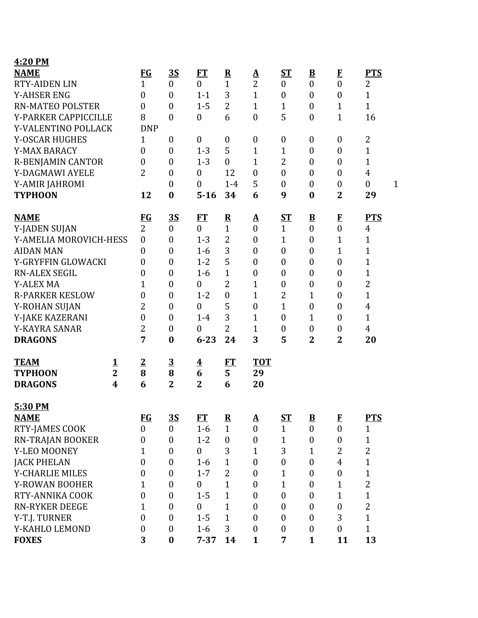| 4:20 PM                  |                |                  |                  |                         |                           |                            |                  |                          |                              |                     |              |
|--------------------------|----------------|------------------|------------------|-------------------------|---------------------------|----------------------------|------------------|--------------------------|------------------------------|---------------------|--------------|
| <b>NAME</b>              |                | <b>FG</b>        | <u>35</u>        | FT                      | ${\bf R}$                 | $\Delta$                   | $S_{1}$          | $\underline{\mathbf{B}}$ | $\bf{F}$                     | <b>PTS</b>          |              |
| <b>RTY-AIDEN LIN</b>     |                | $\mathbf{1}$     | $\overline{0}$   | $\boldsymbol{0}$        | $\mathbf{1}$              | $\overline{2}$             | $\boldsymbol{0}$ | $\boldsymbol{0}$         | $\overline{0}$               | 2                   |              |
| <b>Y-AHSER ENG</b>       |                | $\boldsymbol{0}$ | $\boldsymbol{0}$ | $1 - 1$                 | 3                         | $\mathbf{1}$               | $\boldsymbol{0}$ | $\boldsymbol{0}$         | $\boldsymbol{0}$             | $\mathbf{1}$        |              |
| <b>RN-MATEO POLSTER</b>  |                | $\boldsymbol{0}$ | $\boldsymbol{0}$ | $1 - 5$                 | $\overline{2}$            | $\mathbf{1}$               | 1                | $\boldsymbol{0}$         | $\mathbf{1}$                 | $\mathbf{1}$        |              |
| Y-PARKER CAPPICCILLE     |                | 8                | $\overline{0}$   | $\boldsymbol{0}$        | 6                         | $\boldsymbol{0}$           | 5                | $\boldsymbol{0}$         | $\overline{1}$               | 16                  |              |
| Y-VALENTINO POLLACK      |                | <b>DNP</b>       |                  |                         |                           |                            |                  |                          |                              |                     |              |
| Y-OSCAR HUGHES           |                | $\mathbf{1}$     | $\boldsymbol{0}$ | $\boldsymbol{0}$        | $\boldsymbol{0}$          | $\boldsymbol{0}$           | $\boldsymbol{0}$ | $\boldsymbol{0}$         | $\boldsymbol{0}$             | 2                   |              |
| Y-MAX BARACY             |                | $\boldsymbol{0}$ | $\boldsymbol{0}$ | $1 - 3$                 | 5                         | $\mathbf{1}$               | $\mathbf{1}$     | $\boldsymbol{0}$         | $\boldsymbol{0}$             | $\mathbf{1}$        |              |
| <b>R-BENJAMIN CANTOR</b> |                | $\overline{0}$   | $\boldsymbol{0}$ | $1 - 3$                 | $\boldsymbol{0}$          | $\mathbf{1}$               | 2                | $\boldsymbol{0}$         | $\overline{0}$               | $\mathbf{1}$        |              |
| Y-DAGMAWI AYELE          |                | $\overline{2}$   | $\boldsymbol{0}$ | $\boldsymbol{0}$        | 12                        | $\boldsymbol{0}$           | $\boldsymbol{0}$ | $\boldsymbol{0}$         | $\boldsymbol{0}$             | $\overline{4}$      |              |
| Y-AMIR JAHROMI           |                |                  | $\boldsymbol{0}$ | $\overline{0}$          | $1-4$                     | 5                          | $\boldsymbol{0}$ | $\boldsymbol{0}$         | $\boldsymbol{0}$             | $\boldsymbol{0}$    | $\mathbf{1}$ |
| <b>TYPHOON</b>           |                | 12               | $\boldsymbol{0}$ | $5 - 16$                | 34                        | 6                          | 9                | $\bf{0}$                 | $\overline{2}$               | 29                  |              |
|                          |                |                  |                  |                         |                           |                            |                  |                          |                              |                     |              |
| <b>NAME</b>              |                | <u>FG</u>        | <u>35</u>        | <u>FT</u>               | $\overline{\mathbf{R}}$   | ${\bf A}$                  | <u>ST</u>        | $\overline{\mathbf{B}}$  | $\mathbf{F}$                 | <b>PTS</b>          |              |
| Y-JADEN SUJAN            |                | $\overline{2}$   | $\overline{0}$   | $\overline{0}$          | $\mathbf{1}$              | $\mathbf{0}$               | $\mathbf{1}$     | $\overline{0}$           | $\overline{0}$               | 4                   |              |
| Y-AMELIA MOROVICH-HESS   |                | $\boldsymbol{0}$ | $\boldsymbol{0}$ | $1 - 3$                 | $\overline{2}$            | $\boldsymbol{0}$           | $\mathbf{1}$     | $\boldsymbol{0}$         | $\mathbf{1}$                 | $\mathbf{1}$        |              |
| <b>AIDAN MAN</b>         |                | $\boldsymbol{0}$ | $\boldsymbol{0}$ | $1-6$                   | 3                         | $\boldsymbol{0}$           | $\boldsymbol{0}$ | $\boldsymbol{0}$         | $\mathbf 1$                  | $\mathbf 1$         |              |
| Y-GRYFFIN GLOWACKI       |                | 0                | $\boldsymbol{0}$ | $1 - 2$                 | 5                         | $\boldsymbol{0}$           | $\boldsymbol{0}$ | $\boldsymbol{0}$         | $\boldsymbol{0}$             | 1                   |              |
| <b>RN-ALEX SEGIL</b>     |                | 0                | $\boldsymbol{0}$ | $1-6$                   | $\mathbf{1}$              | $\boldsymbol{0}$           | $\boldsymbol{0}$ | $\boldsymbol{0}$         | $\boldsymbol{0}$             | $\mathbf{1}$        |              |
| <b>Y-ALEX MA</b>         |                | 1                | $\boldsymbol{0}$ | $\boldsymbol{0}$        | $\overline{2}$            | $\mathbf{1}$               | $\boldsymbol{0}$ | $\boldsymbol{0}$         | $\boldsymbol{0}$             | $\overline{2}$      |              |
| <b>R-PARKER KESLOW</b>   |                | 0                | $\boldsymbol{0}$ | $1 - 2$                 | $\boldsymbol{0}$          | $\mathbf{1}$               | 2                | $\mathbf{1}$             | $\boldsymbol{0}$             | $\mathbf{1}$        |              |
| Y-ROHAN SUJAN            |                | $\overline{2}$   | $\boldsymbol{0}$ | $\boldsymbol{0}$        | 5                         | $\boldsymbol{0}$           | $\mathbf{1}$     | $\boldsymbol{0}$         | $\boldsymbol{0}$             | $\overline{4}$      |              |
| Y-JAKE KAZERANI          |                | $\boldsymbol{0}$ | $\boldsymbol{0}$ | $1-4$                   | 3                         | $\mathbf 1$                | $\boldsymbol{0}$ | $\mathbf{1}$             | $\boldsymbol{0}$             | $\mathbf{1}$        |              |
| Y-KAYRA SANAR            |                | $\overline{2}$   | $\boldsymbol{0}$ | $\boldsymbol{0}$        | $\overline{2}$            | $\mathbf{1}$               | $\boldsymbol{0}$ | $\boldsymbol{0}$         | $\boldsymbol{0}$             | $\overline{4}$      |              |
| <b>DRAGONS</b>           |                | 7                | $\bf{0}$         | $6 - 23$                | 24                        | 3                          | 5                | $\overline{2}$           | $\mathbf{2}$                 | 20                  |              |
|                          |                |                  |                  |                         |                           |                            |                  |                          |                              |                     |              |
| <b>TEAM</b>              | <u>1</u>       | $\frac{2}{8}$    | $\overline{3}$   | $\overline{\textbf{4}}$ | FT                        | <b>TOT</b>                 |                  |                          |                              |                     |              |
| <b>TYPHOON</b>           | $\overline{2}$ |                  | 8                | 6                       | 5                         | 29                         |                  |                          |                              |                     |              |
| <b>DRAGONS</b>           | 4              | 6                | $\overline{2}$   | $\overline{2}$          | 6                         | 20                         |                  |                          |                              |                     |              |
| 5:30 PM                  |                |                  |                  |                         |                           |                            |                  |                          |                              |                     |              |
| <b>NAME</b>              |                | <b>FG</b>        | $\overline{35}$  | <b>FT</b>               |                           |                            | $S_{\rm T}$      | $\underline{\mathbf{B}}$ |                              | <b>PTS</b>          |              |
| RTY-JAMES COOK           |                | $\overline{0}$   | $\overline{0}$   | $1-6$                   | ${\bf R}$<br>$\mathbf{1}$ | $\Delta$<br>$\overline{0}$ | $\mathbf{1}$     | $\boldsymbol{0}$         | $\mathbf{F}$<br>$\mathbf{0}$ | $\mathbf{1}$        |              |
| RN-TRAJAN BOOKER         |                | $\boldsymbol{0}$ | $\boldsymbol{0}$ | $1 - 2$                 | $\boldsymbol{0}$          | $\boldsymbol{0}$           | 1                | $\boldsymbol{0}$         | $\boldsymbol{0}$             |                     |              |
| Y-LEO MOONEY             |                | 1                | $\boldsymbol{0}$ | $\boldsymbol{0}$        | 3                         |                            | 3                | $\mathbf{1}$             | $\overline{2}$               | 1<br>$\overline{c}$ |              |
|                          |                |                  |                  |                         |                           | 1                          |                  |                          | $\overline{4}$               |                     |              |
| <b>JACK PHELAN</b>       |                | $\boldsymbol{0}$ | $\boldsymbol{0}$ | $1-6$                   | $\mathbf 1$               | $\boldsymbol{0}$           | $\boldsymbol{0}$ | $\boldsymbol{0}$         |                              | $\mathbf{1}$        |              |
| Y-CHARLIE MILES          |                | 0                | $\boldsymbol{0}$ | $1 - 7$                 | $\overline{2}$            | $\boldsymbol{0}$           | $\mathbf{1}$     | $\boldsymbol{0}$         | $\boldsymbol{0}$             | $\mathbf{1}$        |              |
| Y-ROWAN BOOHER           |                | 1                | $\boldsymbol{0}$ | $\boldsymbol{0}$        | $\mathbf{1}$              | $\mathbf{0}$               | 1                | $\boldsymbol{0}$         | 1                            | $\overline{c}$      |              |
| RTY-ANNIKA COOK          |                | $\overline{0}$   | $\boldsymbol{0}$ | $1 - 5$                 | 1                         | $\boldsymbol{0}$           | $\boldsymbol{0}$ | $\boldsymbol{0}$         | $\mathbf{1}$                 | $\mathbf{1}$        |              |
| <b>RN-RYKER DEEGE</b>    |                | 1                | $\boldsymbol{0}$ | $\boldsymbol{0}$        | 1                         | $\boldsymbol{0}$           | $\boldsymbol{0}$ | $\boldsymbol{0}$         | $\boldsymbol{0}$             | $\overline{2}$      |              |
| Y-T.J. TURNER            |                | $\overline{0}$   | $\boldsymbol{0}$ | $1 - 5$                 | $\mathbf{1}$              | $\mathbf{0}$               | $\boldsymbol{0}$ | $\overline{0}$           | 3                            | $\mathbf{1}$        |              |
| Y-KAHLO LEMOND           |                | $\boldsymbol{0}$ | $\boldsymbol{0}$ | $1-6$                   | 3                         | $\mathbf{0}$               | $\boldsymbol{0}$ | $\boldsymbol{0}$         | $\boldsymbol{0}$             | $\mathbf{1}$        |              |
| <b>FOXES</b>             |                | 3                | $\boldsymbol{0}$ | $7 - 37$                | 14                        | $\mathbf{1}$               | 7                | $\mathbf{1}$             | 11                           | 13                  |              |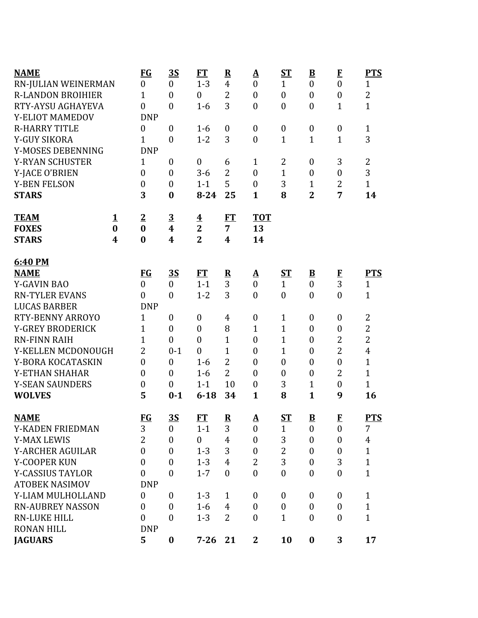| <b>NAME</b>              |                  | <u>FG</u>        | <u>3S</u>               | FT                      | $\overline{\mathbf{R}}$ | <u>A</u>         | ST               | $\overline{\mathbf{B}}$  | $\bf{F}$         | <b>PTS</b>     |
|--------------------------|------------------|------------------|-------------------------|-------------------------|-------------------------|------------------|------------------|--------------------------|------------------|----------------|
| RN-JULIAN WEINERMAN      |                  | $\boldsymbol{0}$ | $\boldsymbol{0}$        | $1 - 3$                 | $\overline{4}$          | $\boldsymbol{0}$ | $\mathbf{1}$     | $\boldsymbol{0}$         | $\overline{0}$   | $\mathbf{1}$   |
| <b>R-LANDON BROIHIER</b> |                  | $\mathbf{1}$     | $\boldsymbol{0}$        | $\mathbf{0}$            | $\overline{2}$          | $\boldsymbol{0}$ | $\boldsymbol{0}$ | $\boldsymbol{0}$         | $\boldsymbol{0}$ | $\overline{2}$ |
| RTY-AYSU AGHAYEVA        |                  | $\boldsymbol{0}$ | $\overline{0}$          | $1-6$                   | 3                       | $\mathbf{0}$     | $\boldsymbol{0}$ | $\boldsymbol{0}$         | $\mathbf{1}$     | $\overline{1}$ |
| Y-ELIOT MAMEDOV          |                  | <b>DNP</b>       |                         |                         |                         |                  |                  |                          |                  |                |
| <b>R-HARRY TITLE</b>     |                  | 0                | $\boldsymbol{0}$        | $1 - 6$                 | $\boldsymbol{0}$        | $\boldsymbol{0}$ | $\boldsymbol{0}$ | $\boldsymbol{0}$         | $\boldsymbol{0}$ | $\mathbf{1}$   |
| Y-GUY SIKORA             |                  | $\mathbf{1}$     | $\boldsymbol{0}$        | $1 - 2$                 | 3                       | $\boldsymbol{0}$ | $\mathbf{1}$     | $\mathbf{1}$             | $\mathbf{1}$     | 3              |
| Y-MOSES DEBENNING        |                  | <b>DNP</b>       |                         |                         |                         |                  |                  |                          |                  |                |
| <b>Y-RYAN SCHUSTER</b>   |                  | $\mathbf{1}$     | $\boldsymbol{0}$        | $\boldsymbol{0}$        | 6                       | $\mathbf{1}$     | 2                | $\boldsymbol{0}$         | 3                | 2              |
| Y-JACE O'BRIEN           |                  | $\boldsymbol{0}$ | $\boldsymbol{0}$        | $3 - 6$                 | $\overline{2}$          | $\boldsymbol{0}$ | $\mathbf{1}$     | $\boldsymbol{0}$         | $\boldsymbol{0}$ | 3              |
| <b>Y-BEN FELSON</b>      |                  | $\boldsymbol{0}$ | $\boldsymbol{0}$        | $1 - 1$                 | 5                       | $\boldsymbol{0}$ | 3                | $\mathbf{1}$             | $\overline{2}$   | $\mathbf{1}$   |
| <b>STARS</b>             |                  | 3                | $\bf{0}$                | $8 - 24$                | 25                      | $\mathbf{1}$     | 8                | $\overline{2}$           | 7                | 14             |
| <b>TEAM</b>              | $\mathbf 1$      | $\overline{2}$   | $\overline{\mathbf{3}}$ | $\overline{\mathbf{r}}$ | FT                      | <b>TOT</b>       |                  |                          |                  |                |
| <b>FOXES</b>             | $\bf{0}$         | $\bf{0}$         | 4                       | $\mathbf{2}$            | $\overline{7}$          | 13               |                  |                          |                  |                |
| <b>STARS</b>             | $\boldsymbol{4}$ | $\bf{0}$         | 4                       | $\overline{2}$          | $\boldsymbol{4}$        | 14               |                  |                          |                  |                |
| 6:40 PM                  |                  |                  |                         |                         |                         |                  |                  |                          |                  |                |
| <b>NAME</b>              |                  | <u>FG</u>        | <u>35</u>               | FT                      | $\overline{\mathbf{R}}$ | <u>A</u>         | <u>ST</u>        | $\overline{\mathbf{B}}$  | $\bf{F}$         | <b>PTS</b>     |
| <b>Y-GAVIN BAO</b>       |                  | $\overline{0}$   | $\boldsymbol{0}$        | $1 - 1$                 | 3                       | $\mathbf{0}$     | $\mathbf{1}$     | $\boldsymbol{0}$         | 3                | $\mathbf{1}$   |
| <b>RN-TYLER EVANS</b>    |                  | $\overline{0}$   | $\overline{0}$          | $1 - 2$                 | 3                       | $\boldsymbol{0}$ | $\boldsymbol{0}$ | $\overline{0}$           | $\overline{0}$   | $\mathbf{1}$   |
| <b>LUCAS BARBER</b>      |                  | <b>DNP</b>       |                         |                         |                         |                  |                  |                          |                  |                |
| <b>RTY-BENNY ARROYO</b>  |                  | $\mathbf{1}$     | $\boldsymbol{0}$        | $\boldsymbol{0}$        | 4                       | $\boldsymbol{0}$ | $\mathbf{1}$     | $\boldsymbol{0}$         | $\boldsymbol{0}$ | $\overline{2}$ |
| <b>Y-GREY BRODERICK</b>  |                  | 1                | $\overline{0}$          | $\overline{0}$          | 8                       | $\mathbf{1}$     | $\mathbf{1}$     | $\boldsymbol{0}$         | $\boldsymbol{0}$ | $\overline{2}$ |
| <b>RN-FINN RAIH</b>      |                  | $\overline{1}$   | $\overline{0}$          | $\overline{0}$          | $\mathbf{1}$            | $\boldsymbol{0}$ | $\mathbf{1}$     | $\boldsymbol{0}$         | $\overline{2}$   | $\overline{2}$ |
| Y-KELLEN MCDONOUGH       |                  | $\overline{2}$   | $0 - 1$                 | $\overline{0}$          | $\mathbf{1}$            | $\boldsymbol{0}$ | $\mathbf{1}$     | $\boldsymbol{0}$         | $\overline{2}$   | $\overline{4}$ |
| Y-BORA KOCATASKIN        |                  | $\overline{0}$   | $\boldsymbol{0}$        | $1 - 6$                 | $\overline{2}$          | $\boldsymbol{0}$ | $\boldsymbol{0}$ | $\boldsymbol{0}$         | $\overline{0}$   | $\mathbf{1}$   |
| Y-ETHAN SHAHAR           |                  | $\boldsymbol{0}$ | $\overline{0}$          | $1-6$                   | $\overline{2}$          | $\boldsymbol{0}$ | $\boldsymbol{0}$ | $\boldsymbol{0}$         | $\overline{2}$   | $\mathbf{1}$   |
| <b>Y-SEAN SAUNDERS</b>   |                  | $\boldsymbol{0}$ | $\boldsymbol{0}$        | $1 - 1$                 | 10                      | $\boldsymbol{0}$ | 3                | $\mathbf 1$              | $\boldsymbol{0}$ | $\mathbf{1}$   |
| <b>WOLVES</b>            |                  | 5                | $0 - 1$                 | $6 - 18$                | 34                      | $\mathbf{1}$     | 8                | $\mathbf{1}$             | 9                | 16             |
| <b>NAME</b>              |                  | $FG$             | <u>35</u>               | FT                      | $\mathbf R$             | ${\bf A}$        | <b>ST</b>        | $\underline{\mathbf{B}}$ | $\mathbf{F}$     | <b>PTS</b>     |
| Y-KADEN FRIEDMAN         |                  | 3                | $\boldsymbol{0}$        | $1 - 1$                 | 3                       | $\mathbf{0}$     | $\mathbf{1}$     | $\boldsymbol{0}$         | $\boldsymbol{0}$ | 7              |
| <b>Y-MAX LEWIS</b>       |                  | $\overline{2}$   | $\boldsymbol{0}$        | $\mathbf{0}$            | $\overline{4}$          | $\boldsymbol{0}$ | 3                | $\boldsymbol{0}$         | $\boldsymbol{0}$ | 4              |
| <b>Y-ARCHER AGUILAR</b>  |                  | $\boldsymbol{0}$ | $\overline{0}$          | $1 - 3$                 | 3                       | $\boldsymbol{0}$ | $\overline{2}$   | $\boldsymbol{0}$         | $\mathbf{0}$     | $\mathbf{1}$   |
| Y-COOPER KUN             |                  | $\boldsymbol{0}$ | $\overline{0}$          | $1 - 3$                 | 4                       | $\overline{2}$   | 3                | $\boldsymbol{0}$         | 3                | $\mathbf{1}$   |
| <b>Y-CASSIUS TAYLOR</b>  |                  | $\overline{0}$   | $\overline{0}$          | $1 - 7$                 | $\boldsymbol{0}$        | $\boldsymbol{0}$ | $\boldsymbol{0}$ | $\boldsymbol{0}$         | $\boldsymbol{0}$ | $\mathbf{1}$   |
| <b>ATOBEK NASIMOV</b>    |                  | <b>DNP</b>       |                         |                         |                         |                  |                  |                          |                  |                |
| Y-LIAM MULHOLLAND        |                  | $\boldsymbol{0}$ | $\boldsymbol{0}$        | $1 - 3$                 | $\mathbf{1}$            | $\boldsymbol{0}$ | $\boldsymbol{0}$ | $\boldsymbol{0}$         | $\bf{0}$         | $\mathbf{1}$   |
| <b>RN-AUBREY NASSON</b>  |                  | 0                | $\boldsymbol{0}$        | $1-6$                   | 4                       | $\mathbf{0}$     | $\boldsymbol{0}$ | $\boldsymbol{0}$         | $\mathbf{0}$     | $\mathbf{1}$   |
| <b>RN-LUKE HILL</b>      |                  | $\boldsymbol{0}$ | $\boldsymbol{0}$        | $1 - 3$                 | $\overline{2}$          | $\mathbf{0}$     | $\mathbf{1}$     | $\boldsymbol{0}$         | $\mathbf{0}$     | $\mathbf{1}$   |
| <b>RONAN HILL</b>        |                  | <b>DNP</b>       |                         |                         |                         |                  |                  |                          |                  |                |
| <b>JAGUARS</b>           |                  | 5                | $\bf{0}$                | $7 - 26$                | 21                      | $\mathbf{2}$     | 10               | $\boldsymbol{0}$         | 3                | 17             |